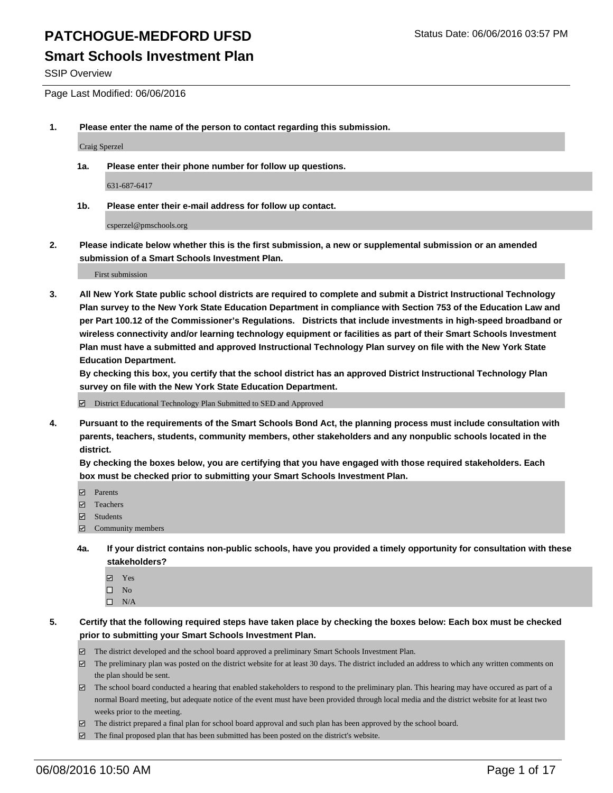SSIP Overview

Page Last Modified: 06/06/2016

**1. Please enter the name of the person to contact regarding this submission.**

Craig Sperzel

**1a. Please enter their phone number for follow up questions.**

631-687-6417

**1b. Please enter their e-mail address for follow up contact.**

csperzel@pmschools.org

**2. Please indicate below whether this is the first submission, a new or supplemental submission or an amended submission of a Smart Schools Investment Plan.**

First submission

**3. All New York State public school districts are required to complete and submit a District Instructional Technology Plan survey to the New York State Education Department in compliance with Section 753 of the Education Law and per Part 100.12 of the Commissioner's Regulations. Districts that include investments in high-speed broadband or wireless connectivity and/or learning technology equipment or facilities as part of their Smart Schools Investment Plan must have a submitted and approved Instructional Technology Plan survey on file with the New York State Education Department.** 

**By checking this box, you certify that the school district has an approved District Instructional Technology Plan survey on file with the New York State Education Department.**

District Educational Technology Plan Submitted to SED and Approved

**4. Pursuant to the requirements of the Smart Schools Bond Act, the planning process must include consultation with parents, teachers, students, community members, other stakeholders and any nonpublic schools located in the district.** 

**By checking the boxes below, you are certifying that you have engaged with those required stakeholders. Each box must be checked prior to submitting your Smart Schools Investment Plan.**

- **Parents**
- Teachers
- $\blacksquare$  Students
- Community members
- **4a. If your district contains non-public schools, have you provided a timely opportunity for consultation with these stakeholders?**
	- Yes  $\square$  No
	- $\square$  N/A
- **5. Certify that the following required steps have taken place by checking the boxes below: Each box must be checked prior to submitting your Smart Schools Investment Plan.**
	- The district developed and the school board approved a preliminary Smart Schools Investment Plan.
	- $\Box$  The preliminary plan was posted on the district website for at least 30 days. The district included an address to which any written comments on the plan should be sent.
	- $\Box$  The school board conducted a hearing that enabled stakeholders to respond to the preliminary plan. This hearing may have occured as part of a normal Board meeting, but adequate notice of the event must have been provided through local media and the district website for at least two weeks prior to the meeting.
	- The district prepared a final plan for school board approval and such plan has been approved by the school board.
	- $\boxdot$  The final proposed plan that has been submitted has been posted on the district's website.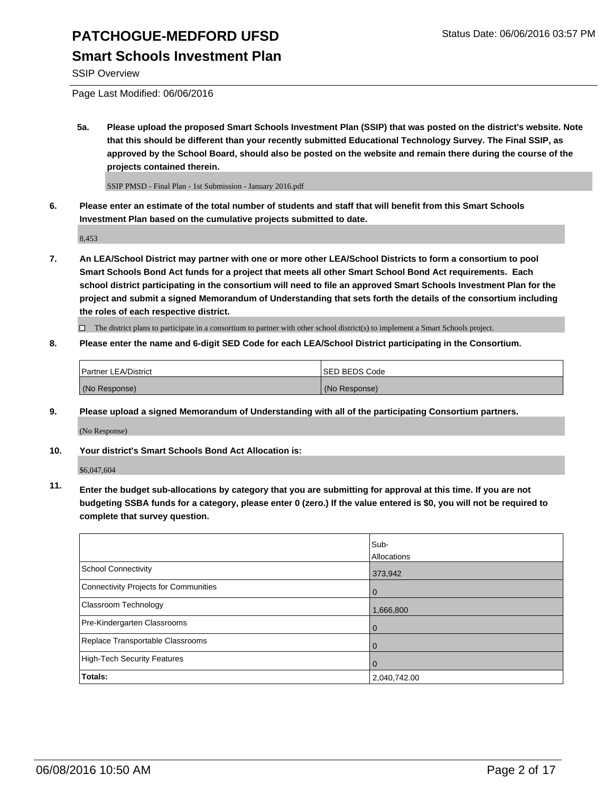## **Smart Schools Investment Plan**

SSIP Overview

Page Last Modified: 06/06/2016

**5a. Please upload the proposed Smart Schools Investment Plan (SSIP) that was posted on the district's website. Note that this should be different than your recently submitted Educational Technology Survey. The Final SSIP, as approved by the School Board, should also be posted on the website and remain there during the course of the projects contained therein.**

SSIP PMSD - Final Plan - 1st Submission - January 2016.pdf

**6. Please enter an estimate of the total number of students and staff that will benefit from this Smart Schools Investment Plan based on the cumulative projects submitted to date.**

8,453

**7. An LEA/School District may partner with one or more other LEA/School Districts to form a consortium to pool Smart Schools Bond Act funds for a project that meets all other Smart School Bond Act requirements. Each school district participating in the consortium will need to file an approved Smart Schools Investment Plan for the project and submit a signed Memorandum of Understanding that sets forth the details of the consortium including the roles of each respective district.**

 $\Box$  The district plans to participate in a consortium to partner with other school district(s) to implement a Smart Schools project.

**8. Please enter the name and 6-digit SED Code for each LEA/School District participating in the Consortium.**

| <b>Partner LEA/District</b> | ISED BEDS Code |
|-----------------------------|----------------|
| (No Response)               | (No Response)  |

**9. Please upload a signed Memorandum of Understanding with all of the participating Consortium partners.**

(No Response)

**10. Your district's Smart Schools Bond Act Allocation is:**

\$6,047,604

**11. Enter the budget sub-allocations by category that you are submitting for approval at this time. If you are not budgeting SSBA funds for a category, please enter 0 (zero.) If the value entered is \$0, you will not be required to complete that survey question.**

|                                       | Sub-         |
|---------------------------------------|--------------|
|                                       | Allocations  |
| <b>School Connectivity</b>            | 373,942      |
| Connectivity Projects for Communities | 0            |
| <b>Classroom Technology</b>           | 1,666,800    |
| Pre-Kindergarten Classrooms           |              |
| Replace Transportable Classrooms      | O            |
| High-Tech Security Features           |              |
| Totals:                               | 2,040,742.00 |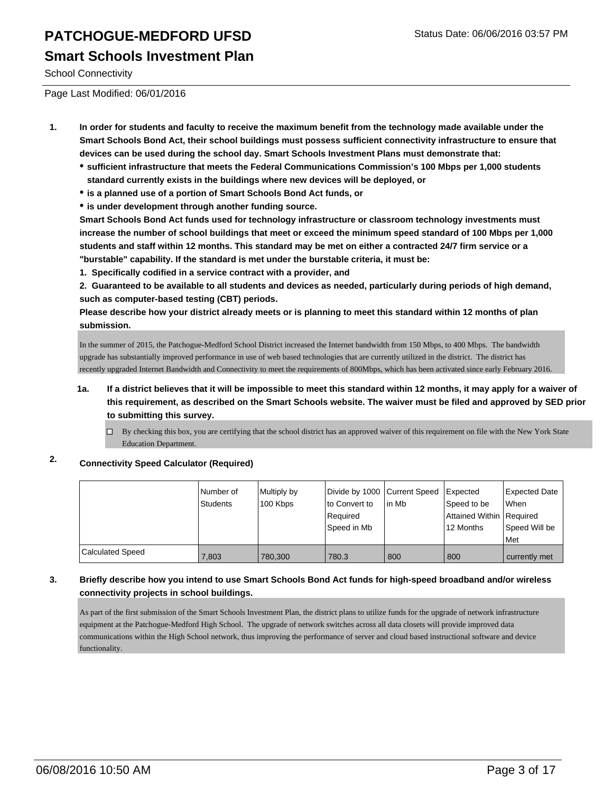School Connectivity

Page Last Modified: 06/01/2016

- **1. In order for students and faculty to receive the maximum benefit from the technology made available under the Smart Schools Bond Act, their school buildings must possess sufficient connectivity infrastructure to ensure that devices can be used during the school day. Smart Schools Investment Plans must demonstrate that:**
	- **sufficient infrastructure that meets the Federal Communications Commission's 100 Mbps per 1,000 students standard currently exists in the buildings where new devices will be deployed, or**
	- **is a planned use of a portion of Smart Schools Bond Act funds, or**
	- **is under development through another funding source.**

**Smart Schools Bond Act funds used for technology infrastructure or classroom technology investments must increase the number of school buildings that meet or exceed the minimum speed standard of 100 Mbps per 1,000 students and staff within 12 months. This standard may be met on either a contracted 24/7 firm service or a "burstable" capability. If the standard is met under the burstable criteria, it must be:**

**1. Specifically codified in a service contract with a provider, and**

**2. Guaranteed to be available to all students and devices as needed, particularly during periods of high demand, such as computer-based testing (CBT) periods.**

**Please describe how your district already meets or is planning to meet this standard within 12 months of plan submission.**

In the summer of 2015, the Patchogue-Medford School District increased the Internet bandwidth from 150 Mbps, to 400 Mbps. The bandwidth upgrade has substantially improved performance in use of web based technologies that are currently utilized in the district. The district has recently upgraded Internet Bandwidth and Connectivity to meet the requirements of 800Mbps, which has been activated since early February 2016.

#### **1a. If a district believes that it will be impossible to meet this standard within 12 months, it may apply for a waiver of this requirement, as described on the Smart Schools website. The waiver must be filed and approved by SED prior to submitting this survey.**

 $\Box$  By checking this box, you are certifying that the school district has an approved waiver of this requirement on file with the New York State Education Department.

### **2. Connectivity Speed Calculator (Required)**

|                  | l Number of<br>Students | Multiply by<br>100 Kbps | Divide by 1000 Current Speed<br>to Convert to<br>Required<br>Speed in Mb | lin Mb | <b>Expected</b><br>Speed to be<br>Attained Within Required<br>12 Months | Expected Date<br>When<br>Speed Will be |
|------------------|-------------------------|-------------------------|--------------------------------------------------------------------------|--------|-------------------------------------------------------------------------|----------------------------------------|
|                  |                         |                         |                                                                          |        |                                                                         | l Met                                  |
| Calculated Speed | 7,803                   | 780.300                 | 780.3                                                                    | 800    | 800                                                                     | currently met                          |

#### **3. Briefly describe how you intend to use Smart Schools Bond Act funds for high-speed broadband and/or wireless connectivity projects in school buildings.**

As part of the first submission of the Smart Schools Investment Plan, the district plans to utilize funds for the upgrade of network infrastructure equipment at the Patchogue-Medford High School. The upgrade of network switches across all data closets will provide improved data communications within the High School network, thus improving the performance of server and cloud based instructional software and device functionality.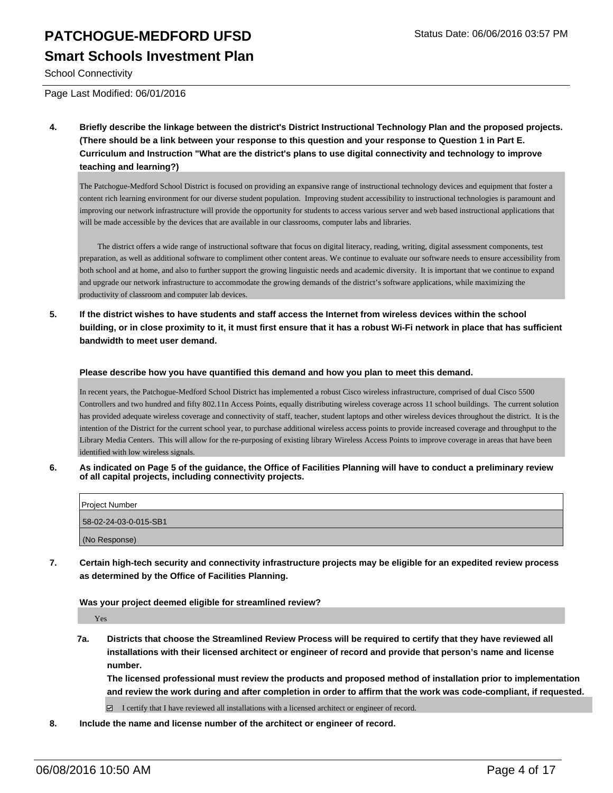### **Smart Schools Investment Plan**

School Connectivity

Page Last Modified: 06/01/2016

**4. Briefly describe the linkage between the district's District Instructional Technology Plan and the proposed projects. (There should be a link between your response to this question and your response to Question 1 in Part E. Curriculum and Instruction "What are the district's plans to use digital connectivity and technology to improve teaching and learning?)**

The Patchogue-Medford School District is focused on providing an expansive range of instructional technology devices and equipment that foster a content rich learning environment for our diverse student population. Improving student accessibility to instructional technologies is paramount and improving our network infrastructure will provide the opportunity for students to access various server and web based instructional applications that will be made accessible by the devices that are available in our classrooms, computer labs and libraries.

 The district offers a wide range of instructional software that focus on digital literacy, reading, writing, digital assessment components, test preparation, as well as additional software to compliment other content areas. We continue to evaluate our software needs to ensure accessibility from both school and at home, and also to further support the growing linguistic needs and academic diversity. It is important that we continue to expand and upgrade our network infrastructure to accommodate the growing demands of the district's software applications, while maximizing the productivity of classroom and computer lab devices.

**5. If the district wishes to have students and staff access the Internet from wireless devices within the school building, or in close proximity to it, it must first ensure that it has a robust Wi-Fi network in place that has sufficient bandwidth to meet user demand.**

#### **Please describe how you have quantified this demand and how you plan to meet this demand.**

In recent years, the Patchogue-Medford School District has implemented a robust Cisco wireless infrastructure, comprised of dual Cisco 5500 Controllers and two hundred and fifty 802.11n Access Points, equally distributing wireless coverage across 11 school buildings. The current solution has provided adequate wireless coverage and connectivity of staff, teacher, student laptops and other wireless devices throughout the district. It is the intention of the District for the current school year, to purchase additional wireless access points to provide increased coverage and throughput to the Library Media Centers. This will allow for the re-purposing of existing library Wireless Access Points to improve coverage in areas that have been identified with low wireless signals.

**6. As indicated on Page 5 of the guidance, the Office of Facilities Planning will have to conduct a preliminary review of all capital projects, including connectivity projects.**

| Project Number        |  |
|-----------------------|--|
| 58-02-24-03-0-015-SB1 |  |
| (No Response)         |  |

**7. Certain high-tech security and connectivity infrastructure projects may be eligible for an expedited review process as determined by the Office of Facilities Planning.**

**Was your project deemed eligible for streamlined review?**

Yes

**7a. Districts that choose the Streamlined Review Process will be required to certify that they have reviewed all installations with their licensed architect or engineer of record and provide that person's name and license number.**

**The licensed professional must review the products and proposed method of installation prior to implementation and review the work during and after completion in order to affirm that the work was code-compliant, if requested.**

 $\Box$  I certify that I have reviewed all installations with a licensed architect or engineer of record.

**8. Include the name and license number of the architect or engineer of record.**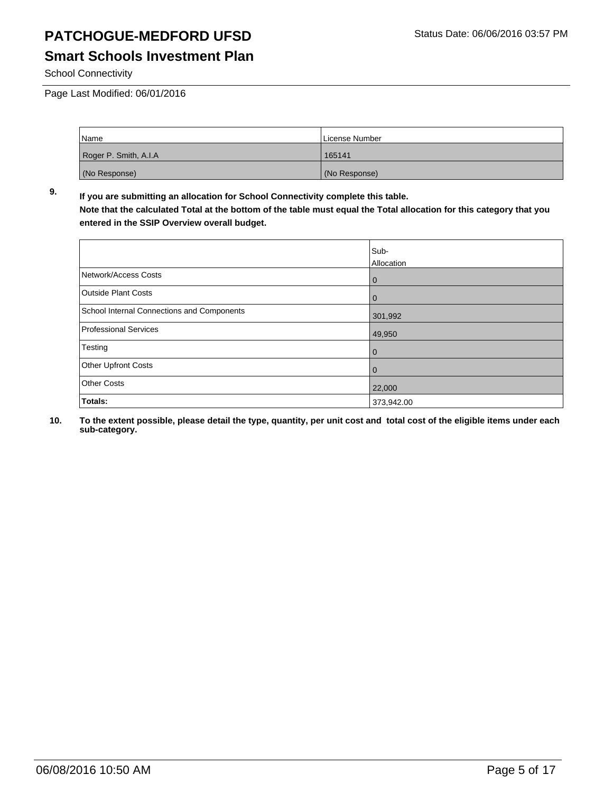School Connectivity

Page Last Modified: 06/01/2016

| Name                  | License Number |
|-----------------------|----------------|
| Roger P. Smith, A.I.A | 165141         |
| (No Response)         | (No Response)  |

**9. If you are submitting an allocation for School Connectivity complete this table. Note that the calculated Total at the bottom of the table must equal the Total allocation for this category that you entered in the SSIP Overview overall budget.** 

|                                            | Sub-<br>Allocation |
|--------------------------------------------|--------------------|
| Network/Access Costs                       | $\mathbf 0$        |
| <b>Outside Plant Costs</b>                 | $\bf{0}$           |
| School Internal Connections and Components | 301,992            |
| Professional Services                      | 49,950             |
| Testing                                    | 0                  |
| <b>Other Upfront Costs</b>                 | 0                  |
| <b>Other Costs</b>                         | 22,000             |
| Totals:                                    | 373,942.00         |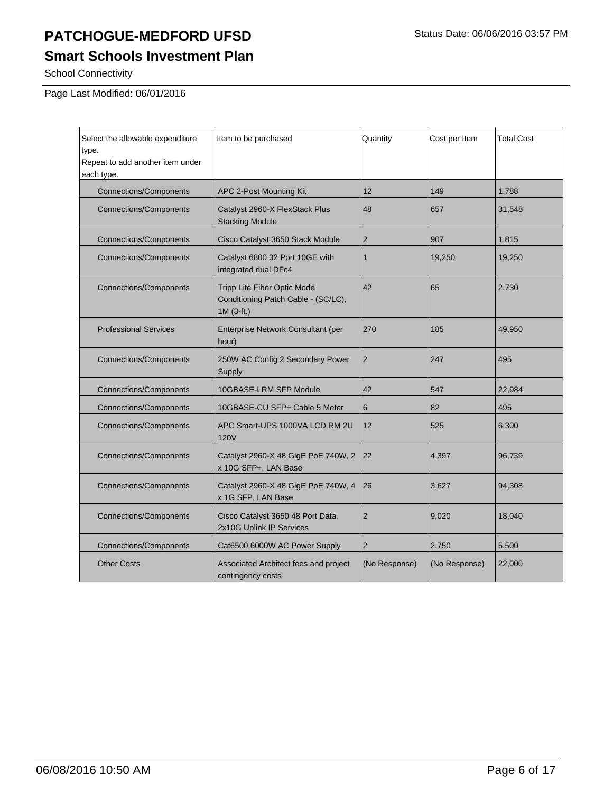# **Smart Schools Investment Plan**

School Connectivity

Page Last Modified: 06/01/2016

| Select the allowable expenditure<br>type.<br>Repeat to add another item under<br>each type. | Item to be purchased                                                              | Quantity       | Cost per Item | <b>Total Cost</b> |
|---------------------------------------------------------------------------------------------|-----------------------------------------------------------------------------------|----------------|---------------|-------------------|
| <b>Connections/Components</b>                                                               | APC 2-Post Mounting Kit                                                           | 12             | 149           | 1,788             |
| <b>Connections/Components</b>                                                               | Catalyst 2960-X FlexStack Plus<br><b>Stacking Module</b>                          | 48             | 657           | 31,548            |
| <b>Connections/Components</b>                                                               | Cisco Catalyst 3650 Stack Module                                                  | 2              | 907           | 1,815             |
| <b>Connections/Components</b>                                                               | Catalyst 6800 32 Port 10GE with<br>integrated dual DFc4                           | $\mathbf{1}$   | 19,250        | 19,250            |
| <b>Connections/Components</b>                                                               | Tripp Lite Fiber Optic Mode<br>Conditioning Patch Cable - (SC/LC),<br>$1M(3-ft.)$ | 42             | 65            | 2,730             |
| <b>Professional Services</b>                                                                | Enterprise Network Consultant (per<br>hour)                                       | 270            | 185           | 49,950            |
| <b>Connections/Components</b>                                                               | 250W AC Config 2 Secondary Power<br>Supply                                        | $\overline{2}$ | 247           | 495               |
| <b>Connections/Components</b>                                                               | 10GBASE-LRM SFP Module                                                            | 42             | 547           | 22,984            |
| <b>Connections/Components</b>                                                               | 10GBASE-CU SFP+ Cable 5 Meter                                                     | 6              | 82            | 495               |
| <b>Connections/Components</b>                                                               | APC Smart-UPS 1000VA LCD RM 2U<br><b>120V</b>                                     | 12             | 525           | 6,300             |
| <b>Connections/Components</b>                                                               | Catalyst 2960-X 48 GigE PoE 740W, 2<br>x 10G SFP+, LAN Base                       | 22             | 4,397         | 96,739            |
| <b>Connections/Components</b>                                                               | Catalyst 2960-X 48 GigE PoE 740W, 4<br>x 1G SFP, LAN Base                         | 26             | 3,627         | 94,308            |
| <b>Connections/Components</b>                                                               | Cisco Catalyst 3650 48 Port Data<br>2x10G Uplink IP Services                      | $\overline{2}$ | 9,020         | 18,040            |
| <b>Connections/Components</b>                                                               | Cat6500 6000W AC Power Supply                                                     | $\overline{2}$ | 2,750         | 5,500             |
| <b>Other Costs</b>                                                                          | Associated Architect fees and project<br>contingency costs                        | (No Response)  | (No Response) | 22,000            |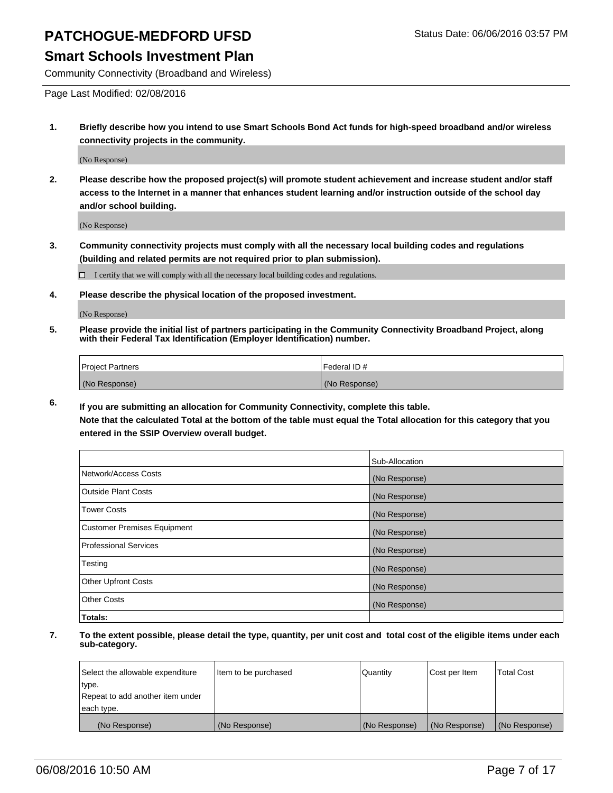### **Smart Schools Investment Plan**

Community Connectivity (Broadband and Wireless)

Page Last Modified: 02/08/2016

**1. Briefly describe how you intend to use Smart Schools Bond Act funds for high-speed broadband and/or wireless connectivity projects in the community.**

(No Response)

**2. Please describe how the proposed project(s) will promote student achievement and increase student and/or staff access to the Internet in a manner that enhances student learning and/or instruction outside of the school day and/or school building.**

(No Response)

**3. Community connectivity projects must comply with all the necessary local building codes and regulations (building and related permits are not required prior to plan submission).**

 $\Box$  I certify that we will comply with all the necessary local building codes and regulations.

**4. Please describe the physical location of the proposed investment.**

(No Response)

**5. Please provide the initial list of partners participating in the Community Connectivity Broadband Project, along with their Federal Tax Identification (Employer Identification) number.**

| Project Partners | I Federal ID # |
|------------------|----------------|
| (No Response)    | (No Response)  |

**6. If you are submitting an allocation for Community Connectivity, complete this table.**

**Note that the calculated Total at the bottom of the table must equal the Total allocation for this category that you entered in the SSIP Overview overall budget.**

|                             | Sub-Allocation |
|-----------------------------|----------------|
| Network/Access Costs        | (No Response)  |
| Outside Plant Costs         | (No Response)  |
| <b>Tower Costs</b>          | (No Response)  |
| Customer Premises Equipment | (No Response)  |
| Professional Services       | (No Response)  |
| Testing                     | (No Response)  |
| Other Upfront Costs         | (No Response)  |
| Other Costs                 | (No Response)  |
| Totals:                     |                |

| Select the allowable expenditure | Item to be purchased | Quantity      | Cost per Item | <b>Total Cost</b> |
|----------------------------------|----------------------|---------------|---------------|-------------------|
| type.                            |                      |               |               |                   |
| Repeat to add another item under |                      |               |               |                   |
| each type.                       |                      |               |               |                   |
| (No Response)                    | (No Response)        | (No Response) | (No Response) | (No Response)     |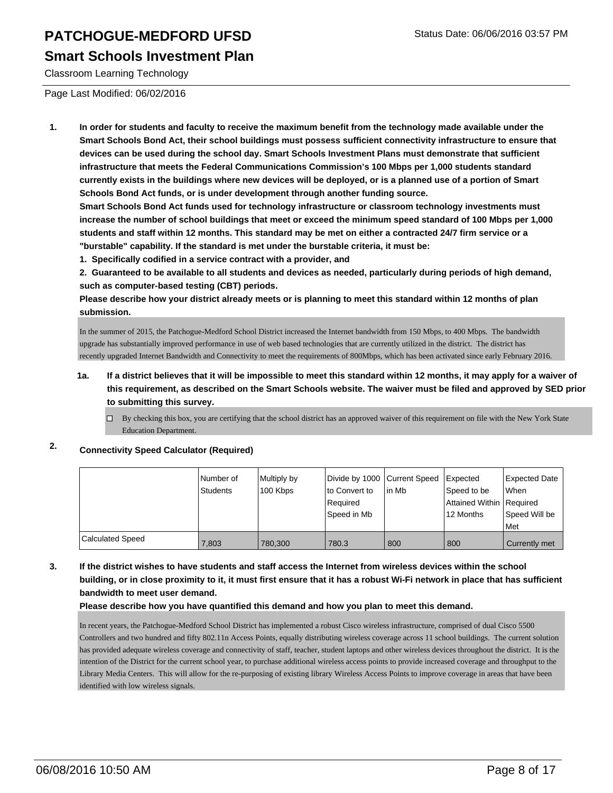### **Smart Schools Investment Plan**

Classroom Learning Technology

Page Last Modified: 06/02/2016

**1. In order for students and faculty to receive the maximum benefit from the technology made available under the Smart Schools Bond Act, their school buildings must possess sufficient connectivity infrastructure to ensure that devices can be used during the school day. Smart Schools Investment Plans must demonstrate that sufficient infrastructure that meets the Federal Communications Commission's 100 Mbps per 1,000 students standard currently exists in the buildings where new devices will be deployed, or is a planned use of a portion of Smart Schools Bond Act funds, or is under development through another funding source.**

**Smart Schools Bond Act funds used for technology infrastructure or classroom technology investments must increase the number of school buildings that meet or exceed the minimum speed standard of 100 Mbps per 1,000 students and staff within 12 months. This standard may be met on either a contracted 24/7 firm service or a "burstable" capability. If the standard is met under the burstable criteria, it must be:**

**1. Specifically codified in a service contract with a provider, and**

**2. Guaranteed to be available to all students and devices as needed, particularly during periods of high demand, such as computer-based testing (CBT) periods.**

**Please describe how your district already meets or is planning to meet this standard within 12 months of plan submission.**

In the summer of 2015, the Patchogue-Medford School District increased the Internet bandwidth from 150 Mbps, to 400 Mbps. The bandwidth upgrade has substantially improved performance in use of web based technologies that are currently utilized in the district. The district has recently upgraded Internet Bandwidth and Connectivity to meet the requirements of 800Mbps, which has been activated since early February 2016.

- **1a. If a district believes that it will be impossible to meet this standard within 12 months, it may apply for a waiver of this requirement, as described on the Smart Schools website. The waiver must be filed and approved by SED prior to submitting this survey.**
	- $\Box$  By checking this box, you are certifying that the school district has an approved waiver of this requirement on file with the New York State Education Department.

### **2. Connectivity Speed Calculator (Required)**

|                         | Number of<br><b>Students</b> | Multiply by<br>100 Kbps | Divide by 1000 Current Speed<br>Ito Convert to<br>l Reauired<br> Speed in Mb | l in Mb | <b>Expected</b><br>Speed to be<br>Attained Within   Required<br>12 Months | Expected Date<br><b>When</b><br>Speed Will be |
|-------------------------|------------------------------|-------------------------|------------------------------------------------------------------------------|---------|---------------------------------------------------------------------------|-----------------------------------------------|
|                         |                              |                         |                                                                              |         |                                                                           | l Met                                         |
| <b>Calculated Speed</b> | 7.803                        | 780.300                 | 780.3                                                                        | 800     | 800                                                                       | Currently met                                 |

#### **3. If the district wishes to have students and staff access the Internet from wireless devices within the school building, or in close proximity to it, it must first ensure that it has a robust Wi-Fi network in place that has sufficient bandwidth to meet user demand.**

#### **Please describe how you have quantified this demand and how you plan to meet this demand.**

In recent years, the Patchogue-Medford School District has implemented a robust Cisco wireless infrastructure, comprised of dual Cisco 5500 Controllers and two hundred and fifty 802.11n Access Points, equally distributing wireless coverage across 11 school buildings. The current solution has provided adequate wireless coverage and connectivity of staff, teacher, student laptops and other wireless devices throughout the district. It is the intention of the District for the current school year, to purchase additional wireless access points to provide increased coverage and throughput to the Library Media Centers. This will allow for the re-purposing of existing library Wireless Access Points to improve coverage in areas that have been identified with low wireless signals.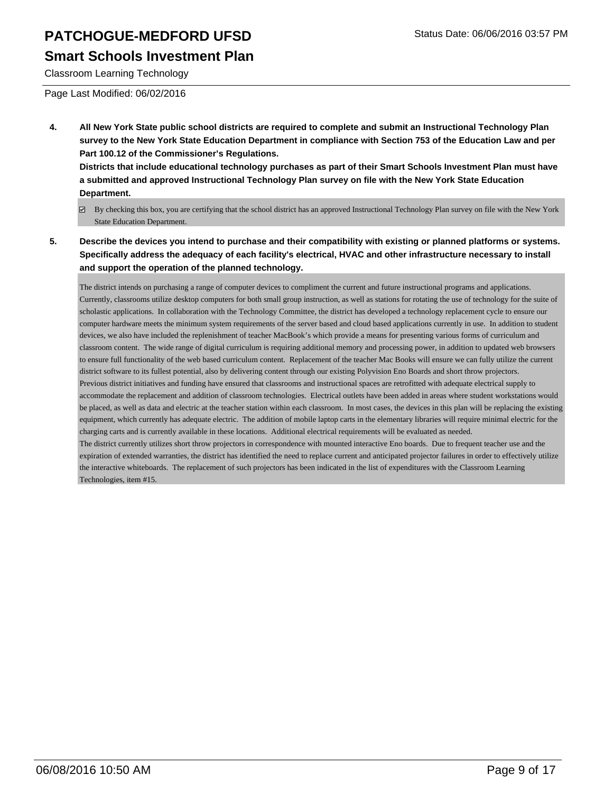### **Smart Schools Investment Plan**

Classroom Learning Technology

Page Last Modified: 06/02/2016

**4. All New York State public school districts are required to complete and submit an Instructional Technology Plan survey to the New York State Education Department in compliance with Section 753 of the Education Law and per Part 100.12 of the Commissioner's Regulations.**

**Districts that include educational technology purchases as part of their Smart Schools Investment Plan must have a submitted and approved Instructional Technology Plan survey on file with the New York State Education Department.**

- By checking this box, you are certifying that the school district has an approved Instructional Technology Plan survey on file with the New York State Education Department.
- **5. Describe the devices you intend to purchase and their compatibility with existing or planned platforms or systems. Specifically address the adequacy of each facility's electrical, HVAC and other infrastructure necessary to install and support the operation of the planned technology.**

The district intends on purchasing a range of computer devices to compliment the current and future instructional programs and applications. Currently, classrooms utilize desktop computers for both small group instruction, as well as stations for rotating the use of technology for the suite of scholastic applications. In collaboration with the Technology Committee, the district has developed a technology replacement cycle to ensure our computer hardware meets the minimum system requirements of the server based and cloud based applications currently in use. In addition to student devices, we also have included the replenishment of teacher MacBook's which provide a means for presenting various forms of curriculum and classroom content. The wide range of digital curriculum is requiring additional memory and processing power, in addition to updated web browsers to ensure full functionality of the web based curriculum content. Replacement of the teacher Mac Books will ensure we can fully utilize the current district software to its fullest potential, also by delivering content through our existing Polyvision Eno Boards and short throw projectors. Previous district initiatives and funding have ensured that classrooms and instructional spaces are retrofitted with adequate electrical supply to accommodate the replacement and addition of classroom technologies. Electrical outlets have been added in areas where student workstations would be placed, as well as data and electric at the teacher station within each classroom. In most cases, the devices in this plan will be replacing the existing equipment, which currently has adequate electric. The addition of mobile laptop carts in the elementary libraries will require minimal electric for the charging carts and is currently available in these locations. Additional electrical requirements will be evaluated as needed. The district currently utilizes short throw projectors in correspondence with mounted interactive Eno boards. Due to frequent teacher use and the expiration of extended warranties, the district has identified the need to replace current and anticipated projector failures in order to effectively utilize the interactive whiteboards. The replacement of such projectors has been indicated in the list of expenditures with the Classroom Learning Technologies, item #15.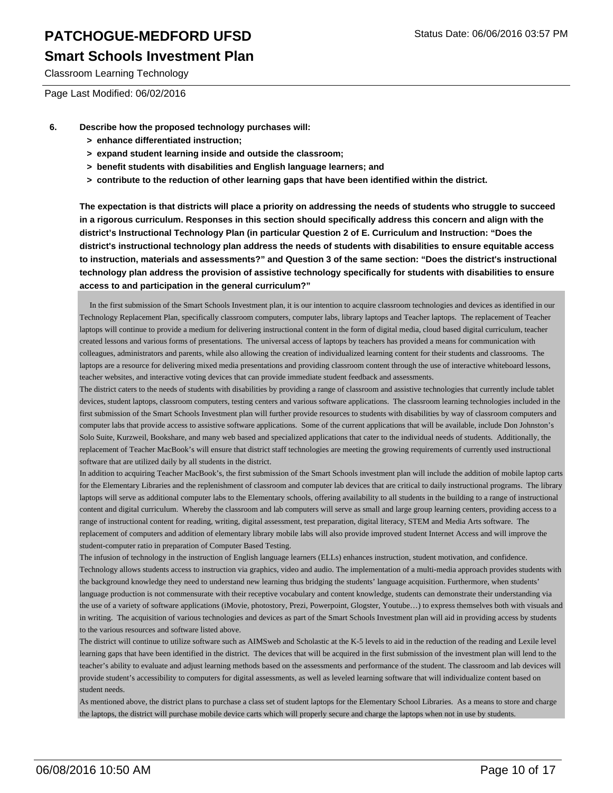### **Smart Schools Investment Plan**

Classroom Learning Technology

Page Last Modified: 06/02/2016

- **6. Describe how the proposed technology purchases will:**
	- **> enhance differentiated instruction;**
	- **> expand student learning inside and outside the classroom;**
	- **> benefit students with disabilities and English language learners; and**
	- **> contribute to the reduction of other learning gaps that have been identified within the district.**

**The expectation is that districts will place a priority on addressing the needs of students who struggle to succeed in a rigorous curriculum. Responses in this section should specifically address this concern and align with the district's Instructional Technology Plan (in particular Question 2 of E. Curriculum and Instruction: "Does the district's instructional technology plan address the needs of students with disabilities to ensure equitable access to instruction, materials and assessments?" and Question 3 of the same section: "Does the district's instructional technology plan address the provision of assistive technology specifically for students with disabilities to ensure access to and participation in the general curriculum?"**

 In the first submission of the Smart Schools Investment plan, it is our intention to acquire classroom technologies and devices as identified in our Technology Replacement Plan, specifically classroom computers, computer labs, library laptops and Teacher laptops. The replacement of Teacher laptops will continue to provide a medium for delivering instructional content in the form of digital media, cloud based digital curriculum, teacher created lessons and various forms of presentations. The universal access of laptops by teachers has provided a means for communication with colleagues, administrators and parents, while also allowing the creation of individualized learning content for their students and classrooms. The laptops are a resource for delivering mixed media presentations and providing classroom content through the use of interactive whiteboard lessons, teacher websites, and interactive voting devices that can provide immediate student feedback and assessments.

The district caters to the needs of students with disabilities by providing a range of classroom and assistive technologies that currently include tablet devices, student laptops, classroom computers, testing centers and various software applications. The classroom learning technologies included in the first submission of the Smart Schools Investment plan will further provide resources to students with disabilities by way of classroom computers and computer labs that provide access to assistive software applications. Some of the current applications that will be available, include Don Johnston's Solo Suite, Kurzweil, Bookshare, and many web based and specialized applications that cater to the individual needs of students. Additionally, the replacement of Teacher MacBook's will ensure that district staff technologies are meeting the growing requirements of currently used instructional software that are utilized daily by all students in the district.

In addition to acquiring Teacher MacBook's, the first submission of the Smart Schools investment plan will include the addition of mobile laptop carts for the Elementary Libraries and the replenishment of classroom and computer lab devices that are critical to daily instructional programs. The library laptops will serve as additional computer labs to the Elementary schools, offering availability to all students in the building to a range of instructional content and digital curriculum. Whereby the classroom and lab computers will serve as small and large group learning centers, providing access to a range of instructional content for reading, writing, digital assessment, test preparation, digital literacy, STEM and Media Arts software. The replacement of computers and addition of elementary library mobile labs will also provide improved student Internet Access and will improve the student-computer ratio in preparation of Computer Based Testing.

The infusion of technology in the instruction of English language learners (ELLs) enhances instruction, student motivation, and confidence. Technology allows students access to instruction via graphics, video and audio. The implementation of a multi-media approach provides students with the background knowledge they need to understand new learning thus bridging the students' language acquisition. Furthermore, when students' language production is not commensurate with their receptive vocabulary and content knowledge, students can demonstrate their understanding via the use of a variety of software applications (iMovie, photostory, Prezi, Powerpoint, Glogster, Youtube…) to express themselves both with visuals and in writing. The acquisition of various technologies and devices as part of the Smart Schools Investment plan will aid in providing access by students to the various resources and software listed above.

The district will continue to utilize software such as AIMSweb and Scholastic at the K-5 levels to aid in the reduction of the reading and Lexile level learning gaps that have been identified in the district. The devices that will be acquired in the first submission of the investment plan will lend to the teacher's ability to evaluate and adjust learning methods based on the assessments and performance of the student. The classroom and lab devices will provide student's accessibility to computers for digital assessments, as well as leveled learning software that will individualize content based on student needs.

As mentioned above, the district plans to purchase a class set of student laptops for the Elementary School Libraries. As a means to store and charge the laptops, the district will purchase mobile device carts which will properly secure and charge the laptops when not in use by students.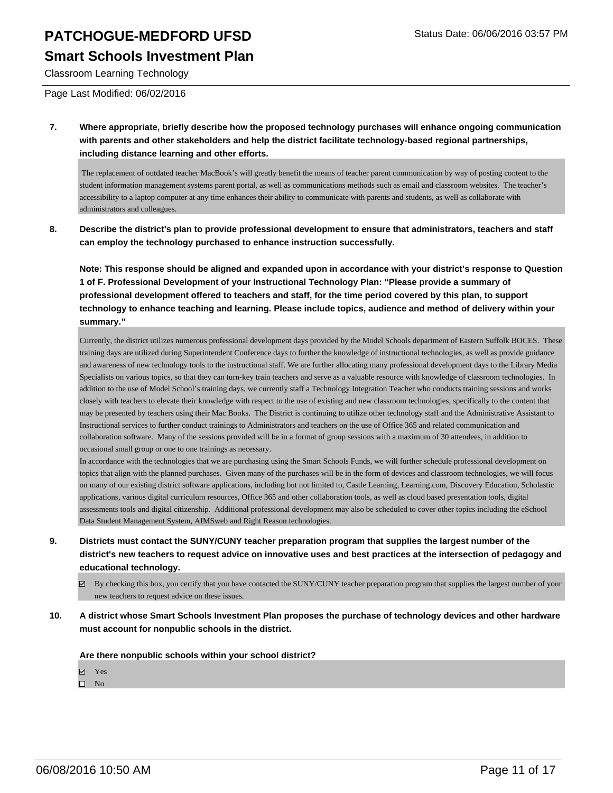### **Smart Schools Investment Plan**

Classroom Learning Technology

Page Last Modified: 06/02/2016

**7. Where appropriate, briefly describe how the proposed technology purchases will enhance ongoing communication with parents and other stakeholders and help the district facilitate technology-based regional partnerships, including distance learning and other efforts.**

 The replacement of outdated teacher MacBook's will greatly benefit the means of teacher parent communication by way of posting content to the student information management systems parent portal, as well as communications methods such as email and classroom websites. The teacher's accessibility to a laptop computer at any time enhances their ability to communicate with parents and students, as well as collaborate with administrators and colleagues.

**8. Describe the district's plan to provide professional development to ensure that administrators, teachers and staff can employ the technology purchased to enhance instruction successfully.**

**Note: This response should be aligned and expanded upon in accordance with your district's response to Question 1 of F. Professional Development of your Instructional Technology Plan: "Please provide a summary of professional development offered to teachers and staff, for the time period covered by this plan, to support technology to enhance teaching and learning. Please include topics, audience and method of delivery within your summary."**

Currently, the district utilizes numerous professional development days provided by the Model Schools department of Eastern Suffolk BOCES. These training days are utilized during Superintendent Conference days to further the knowledge of instructional technologies, as well as provide guidance and awareness of new technology tools to the instructional staff. We are further allocating many professional development days to the Library Media Specialists on various topics, so that they can turn-key train teachers and serve as a valuable resource with knowledge of classroom technologies. In addition to the use of Model School's training days, we currently staff a Technology Integration Teacher who conducts training sessions and works closely with teachers to elevate their knowledge with respect to the use of existing and new classroom technologies, specifically to the content that may be presented by teachers using their Mac Books. The District is continuing to utilize other technology staff and the Administrative Assistant to Instructional services to further conduct trainings to Administrators and teachers on the use of Office 365 and related communication and collaboration software. Many of the sessions provided will be in a format of group sessions with a maximum of 30 attendees, in addition to occasional small group or one to one trainings as necessary.

In accordance with the technologies that we are purchasing using the Smart Schools Funds, we will further schedule professional development on topics that align with the planned purchases. Given many of the purchases will be in the form of devices and classroom technologies, we will focus on many of our existing district software applications, including but not limited to, Castle Learning, Learning.com, Discovery Education, Scholastic applications, various digital curriculum resources, Office 365 and other collaboration tools, as well as cloud based presentation tools, digital assessments tools and digital citizenship. Additional professional development may also be scheduled to cover other topics including the eSchool Data Student Management System, AIMSweb and Right Reason technologies.

- **9. Districts must contact the SUNY/CUNY teacher preparation program that supplies the largest number of the district's new teachers to request advice on innovative uses and best practices at the intersection of pedagogy and educational technology.**
	- $\boxtimes$  By checking this box, you certify that you have contacted the SUNY/CUNY teacher preparation program that supplies the largest number of your new teachers to request advice on these issues.
- **10. A district whose Smart Schools Investment Plan proposes the purchase of technology devices and other hardware must account for nonpublic schools in the district.**

**Are there nonpublic schools within your school district?**

- **☑** Yes
- $\square$  No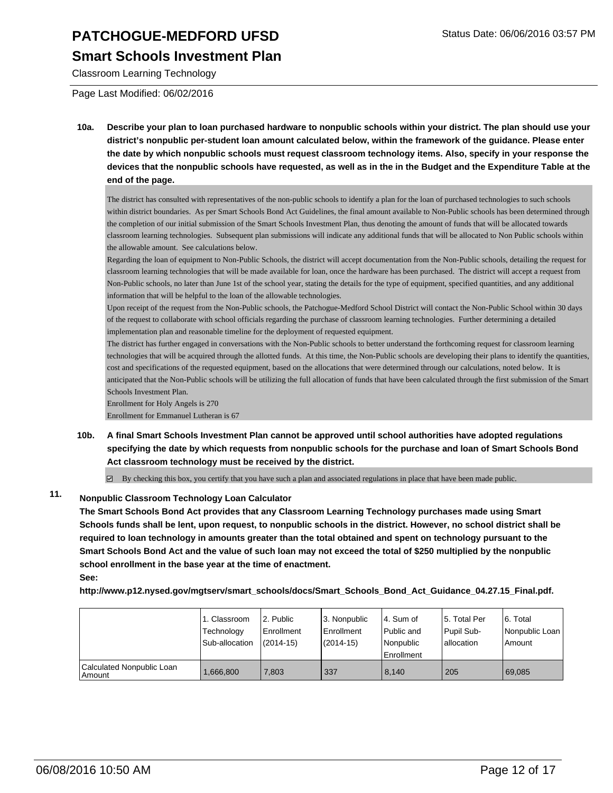### **Smart Schools Investment Plan**

Classroom Learning Technology

Page Last Modified: 06/02/2016

**10a. Describe your plan to loan purchased hardware to nonpublic schools within your district. The plan should use your district's nonpublic per-student loan amount calculated below, within the framework of the guidance. Please enter the date by which nonpublic schools must request classroom technology items. Also, specify in your response the devices that the nonpublic schools have requested, as well as in the in the Budget and the Expenditure Table at the end of the page.**

The district has consulted with representatives of the non-public schools to identify a plan for the loan of purchased technologies to such schools within district boundaries. As per Smart Schools Bond Act Guidelines, the final amount available to Non-Public schools has been determined through the completion of our initial submission of the Smart Schools Investment Plan, thus denoting the amount of funds that will be allocated towards classroom learning technologies. Subsequent plan submissions will indicate any additional funds that will be allocated to Non Public schools within the allowable amount. See calculations below.

Regarding the loan of equipment to Non-Public Schools, the district will accept documentation from the Non-Public schools, detailing the request for classroom learning technologies that will be made available for loan, once the hardware has been purchased. The district will accept a request from Non-Public schools, no later than June 1st of the school year, stating the details for the type of equipment, specified quantities, and any additional information that will be helpful to the loan of the allowable technologies.

Upon receipt of the request from the Non-Public schools, the Patchogue-Medford School District will contact the Non-Public School within 30 days of the request to collaborate with school officials regarding the purchase of classroom learning technologies. Further determining a detailed implementation plan and reasonable timeline for the deployment of requested equipment.

The district has further engaged in conversations with the Non-Public schools to better understand the forthcoming request for classroom learning technologies that will be acquired through the allotted funds. At this time, the Non-Public schools are developing their plans to identify the quantities, cost and specifications of the requested equipment, based on the allocations that were determined through our calculations, noted below. It is anticipated that the Non-Public schools will be utilizing the full allocation of funds that have been calculated through the first submission of the Smart Schools Investment Plan.

Enrollment for Holy Angels is 270

Enrollment for Emmanuel Lutheran is 67

**10b. A final Smart Schools Investment Plan cannot be approved until school authorities have adopted regulations specifying the date by which requests from nonpublic schools for the purchase and loan of Smart Schools Bond Act classroom technology must be received by the district.**

 $\boxtimes$  By checking this box, you certify that you have such a plan and associated regulations in place that have been made public.

### **11. Nonpublic Classroom Technology Loan Calculator**

**The Smart Schools Bond Act provides that any Classroom Learning Technology purchases made using Smart Schools funds shall be lent, upon request, to nonpublic schools in the district. However, no school district shall be required to loan technology in amounts greater than the total obtained and spent on technology pursuant to the Smart Schools Bond Act and the value of such loan may not exceed the total of \$250 multiplied by the nonpublic school enrollment in the base year at the time of enactment. See:**

**http://www.p12.nysed.gov/mgtserv/smart\_schools/docs/Smart\_Schools\_Bond\_Act\_Guidance\_04.27.15\_Final.pdf.**

|                                     | 1. Classroom<br>Technology<br>Sub-allocation | 2. Public<br>Enrollment<br>$(2014 - 15)$ | 3. Nonpublic<br>Enrollment<br>$(2014 - 15)$ | l 4. Sum of<br>l Public and<br>l Nonpublic<br><b>Enrollment</b> | 15. Total Per<br>Pupil Sub-<br>Iallocation | 6. Total<br>Nonpublic Loan<br>Amount |
|-------------------------------------|----------------------------------------------|------------------------------------------|---------------------------------------------|-----------------------------------------------------------------|--------------------------------------------|--------------------------------------|
| Calculated Nonpublic Loan<br>Amount | ,666,800                                     | 7.803                                    | 337                                         | 8.140                                                           | 205                                        | 69.085                               |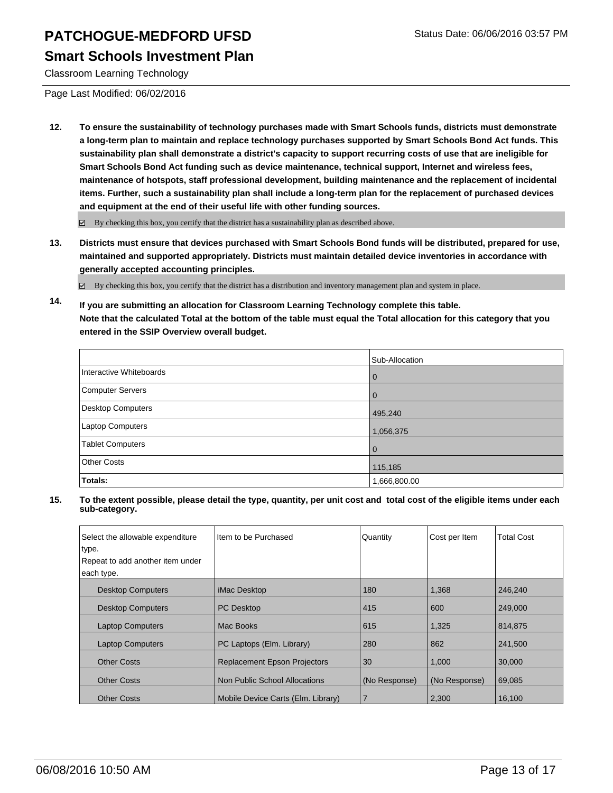### **Smart Schools Investment Plan**

Classroom Learning Technology

Page Last Modified: 06/02/2016

**12. To ensure the sustainability of technology purchases made with Smart Schools funds, districts must demonstrate a long-term plan to maintain and replace technology purchases supported by Smart Schools Bond Act funds. This sustainability plan shall demonstrate a district's capacity to support recurring costs of use that are ineligible for Smart Schools Bond Act funding such as device maintenance, technical support, Internet and wireless fees, maintenance of hotspots, staff professional development, building maintenance and the replacement of incidental items. Further, such a sustainability plan shall include a long-term plan for the replacement of purchased devices and equipment at the end of their useful life with other funding sources.**

By checking this box, you certify that the district has a sustainability plan as described above.

**13. Districts must ensure that devices purchased with Smart Schools Bond funds will be distributed, prepared for use, maintained and supported appropriately. Districts must maintain detailed device inventories in accordance with generally accepted accounting principles.**

 $\boxtimes$  By checking this box, you certify that the district has a distribution and inventory management plan and system in place.

**14. If you are submitting an allocation for Classroom Learning Technology complete this table. Note that the calculated Total at the bottom of the table must equal the Total allocation for this category that you entered in the SSIP Overview overall budget.**

|                         | Sub-Allocation |
|-------------------------|----------------|
| Interactive Whiteboards | $\Omega$       |
| Computer Servers        |                |
| Desktop Computers       | 495,240        |
| Laptop Computers        | 1,056,375      |
| <b>Tablet Computers</b> | $\Omega$       |
| <b>Other Costs</b>      | 115,185        |
| Totals:                 | 1,666,800.00   |

| Select the allowable expenditure<br>type. | Item to be Purchased                | Quantity      | Cost per Item | <b>Total Cost</b> |
|-------------------------------------------|-------------------------------------|---------------|---------------|-------------------|
|                                           |                                     |               |               |                   |
| Repeat to add another item under          |                                     |               |               |                   |
| each type.                                |                                     |               |               |                   |
| <b>Desktop Computers</b>                  | <i>iMac Desktop</i>                 | 180           | 1,368         | 246,240           |
| <b>Desktop Computers</b>                  | <b>PC</b> Desktop                   | 415           | 600           | 249,000           |
| <b>Laptop Computers</b>                   | Mac Books                           | 615           | 1,325         | 814,875           |
| <b>Laptop Computers</b>                   | PC Laptops (Elm. Library)           | 280           | 862           | 241,500           |
| <b>Other Costs</b>                        | <b>Replacement Epson Projectors</b> | 30            | 1,000         | 30,000            |
| <b>Other Costs</b>                        | Non Public School Allocations       | (No Response) | (No Response) | 69,085            |
| <b>Other Costs</b>                        | Mobile Device Carts (Elm. Library)  |               | 2,300         | 16,100            |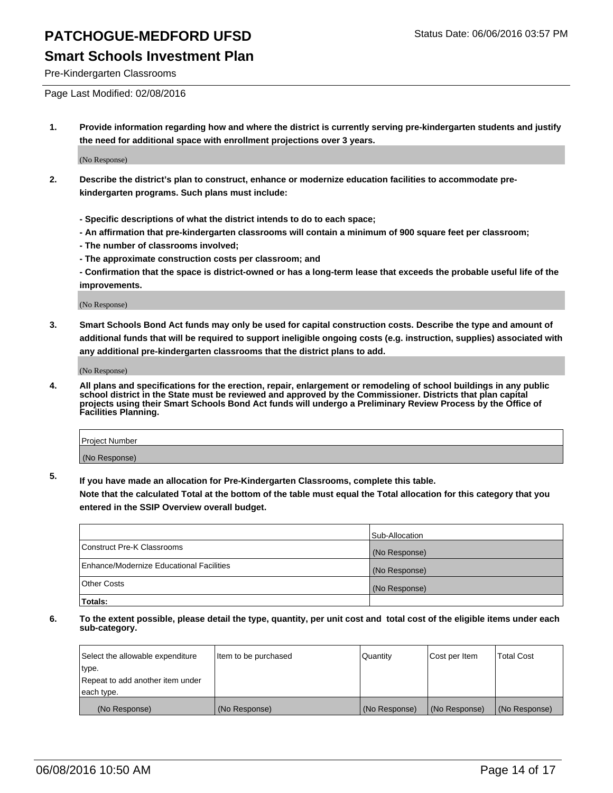Pre-Kindergarten Classrooms

Page Last Modified: 02/08/2016

**1. Provide information regarding how and where the district is currently serving pre-kindergarten students and justify the need for additional space with enrollment projections over 3 years.**

(No Response)

- **2. Describe the district's plan to construct, enhance or modernize education facilities to accommodate prekindergarten programs. Such plans must include:**
	- **Specific descriptions of what the district intends to do to each space;**
	- **An affirmation that pre-kindergarten classrooms will contain a minimum of 900 square feet per classroom;**
	- **The number of classrooms involved;**
	- **The approximate construction costs per classroom; and**
	- **Confirmation that the space is district-owned or has a long-term lease that exceeds the probable useful life of the improvements.**

(No Response)

**3. Smart Schools Bond Act funds may only be used for capital construction costs. Describe the type and amount of additional funds that will be required to support ineligible ongoing costs (e.g. instruction, supplies) associated with any additional pre-kindergarten classrooms that the district plans to add.**

(No Response)

**4. All plans and specifications for the erection, repair, enlargement or remodeling of school buildings in any public school district in the State must be reviewed and approved by the Commissioner. Districts that plan capital projects using their Smart Schools Bond Act funds will undergo a Preliminary Review Process by the Office of Facilities Planning.**

| <b>Project Number</b> |  |
|-----------------------|--|
| (No Response)         |  |

**5. If you have made an allocation for Pre-Kindergarten Classrooms, complete this table.**

**Note that the calculated Total at the bottom of the table must equal the Total allocation for this category that you entered in the SSIP Overview overall budget.**

|                                          | Sub-Allocation |
|------------------------------------------|----------------|
| Construct Pre-K Classrooms               | (No Response)  |
| Enhance/Modernize Educational Facilities | (No Response)  |
| Other Costs                              | (No Response)  |
| Totals:                                  |                |

| Select the allowable expenditure | Item to be purchased | Quantity      | Cost per Item | <b>Total Cost</b> |
|----------------------------------|----------------------|---------------|---------------|-------------------|
| type.                            |                      |               |               |                   |
| Repeat to add another item under |                      |               |               |                   |
| each type.                       |                      |               |               |                   |
| (No Response)                    | (No Response)        | (No Response) | (No Response) | (No Response)     |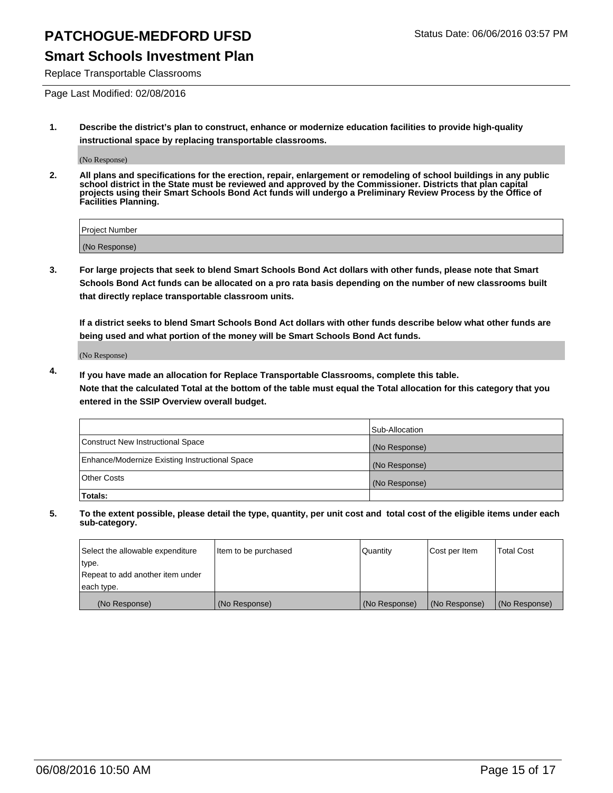Replace Transportable Classrooms

Page Last Modified: 02/08/2016

**1. Describe the district's plan to construct, enhance or modernize education facilities to provide high-quality instructional space by replacing transportable classrooms.**

(No Response)

**2. All plans and specifications for the erection, repair, enlargement or remodeling of school buildings in any public school district in the State must be reviewed and approved by the Commissioner. Districts that plan capital projects using their Smart Schools Bond Act funds will undergo a Preliminary Review Process by the Office of Facilities Planning.**

| <b>Project Number</b> |  |
|-----------------------|--|
| (No Response)         |  |

**3. For large projects that seek to blend Smart Schools Bond Act dollars with other funds, please note that Smart Schools Bond Act funds can be allocated on a pro rata basis depending on the number of new classrooms built that directly replace transportable classroom units.**

**If a district seeks to blend Smart Schools Bond Act dollars with other funds describe below what other funds are being used and what portion of the money will be Smart Schools Bond Act funds.**

(No Response)

**4. If you have made an allocation for Replace Transportable Classrooms, complete this table. Note that the calculated Total at the bottom of the table must equal the Total allocation for this category that you entered in the SSIP Overview overall budget.**

|                                                | Sub-Allocation |
|------------------------------------------------|----------------|
| Construct New Instructional Space              | (No Response)  |
| Enhance/Modernize Existing Instructional Space | (No Response)  |
| <b>Other Costs</b>                             | (No Response)  |
| Totals:                                        |                |

| Select the allowable expenditure | Item to be purchased | <b>Quantity</b> | Cost per Item | <b>Total Cost</b> |
|----------------------------------|----------------------|-----------------|---------------|-------------------|
| type.                            |                      |                 |               |                   |
| Repeat to add another item under |                      |                 |               |                   |
| each type.                       |                      |                 |               |                   |
| (No Response)                    | (No Response)        | (No Response)   | (No Response) | (No Response)     |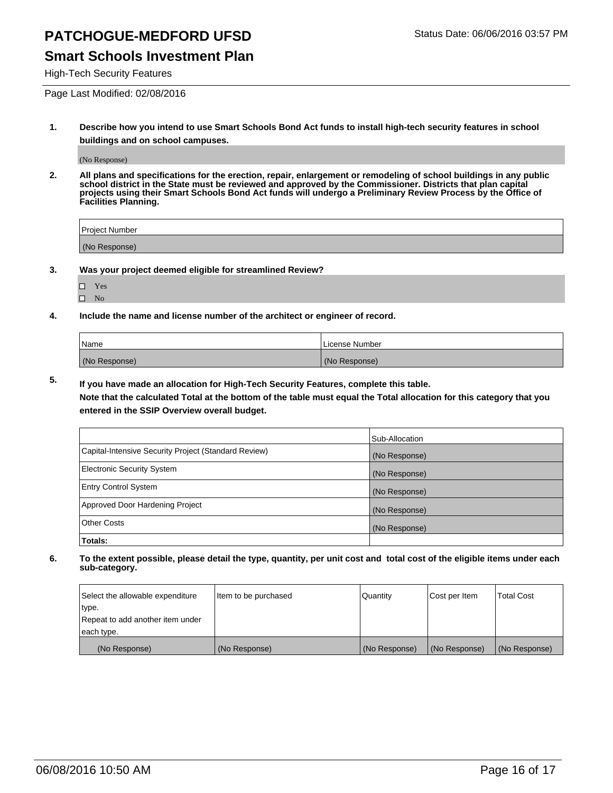### **Smart Schools Investment Plan**

High-Tech Security Features

Page Last Modified: 02/08/2016

**1. Describe how you intend to use Smart Schools Bond Act funds to install high-tech security features in school buildings and on school campuses.**

(No Response)

**2. All plans and specifications for the erection, repair, enlargement or remodeling of school buildings in any public school district in the State must be reviewed and approved by the Commissioner. Districts that plan capital projects using their Smart Schools Bond Act funds will undergo a Preliminary Review Process by the Office of Facilities Planning.** 

| Project Number |  |
|----------------|--|
| (No Response)  |  |

**3. Was your project deemed eligible for streamlined Review?**

| П | Yes |  |
|---|-----|--|
| П | Nο  |  |

**4. Include the name and license number of the architect or engineer of record.**

| Name          | License Number |
|---------------|----------------|
| (No Response) | (No Response)  |

**5. If you have made an allocation for High-Tech Security Features, complete this table.**

**Note that the calculated Total at the bottom of the table must equal the Total allocation for this category that you entered in the SSIP Overview overall budget.**

|                                                      | Sub-Allocation |
|------------------------------------------------------|----------------|
| Capital-Intensive Security Project (Standard Review) | (No Response)  |
| <b>Electronic Security System</b>                    | (No Response)  |
| <b>Entry Control System</b>                          | (No Response)  |
| Approved Door Hardening Project                      | (No Response)  |
| <b>Other Costs</b>                                   | (No Response)  |
| Totals:                                              |                |

| Select the allowable expenditure | Item to be purchased | Quantity      | Cost per Item | Total Cost    |
|----------------------------------|----------------------|---------------|---------------|---------------|
| type.                            |                      |               |               |               |
| Repeat to add another item under |                      |               |               |               |
| each type.                       |                      |               |               |               |
| (No Response)                    | (No Response)        | (No Response) | (No Response) | (No Response) |